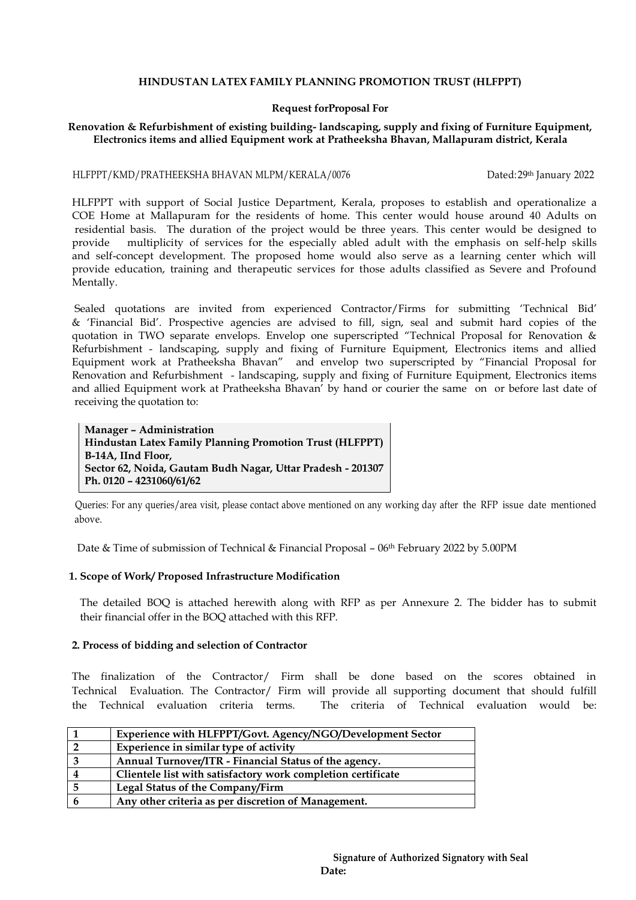## **HINDUSTAN LATEX FAMILY PLANNING PROMOTION TRUST (HLFPPT)**

#### **Request forProposal For**

# **Renovation & Refurbishment of existing building- landscaping, supply and fixing of Furniture Equipment, Electronics items and allied Equipment work at Pratheeksha Bhavan, Mallapuram district, Kerala**

#### HLFPPT/KMD/PRATHEEKSHA BHAVAN MLPM/KERALA/0076 Dated: 29th January 2022

 HLFPPT with support of Social Justice Department, Kerala, proposes to establish and operationalize a COE Home at Mallapuram for the residents of home. This center would house around 40 Adults on residential basis. The duration of the project would be three years. This center would be designed to provide multiplicity of services for the especially abled adult with the emphasis on self-help skills and self-concept development. The proposed home would also serve as a learning center which will provide education, training and therapeutic services for those adults classified as Severe and Profound Mentally.

Sealed quotations are invited from experienced Contractor/Firms for submitting 'Technical Bid' & "Financial Bid". Prospective agencies are advised to fill, sign, seal and submit hard copies of the quotation in TWO separate envelops. Envelop one superscripted "Technical Proposal for Renovation & Refurbishment - landscaping, supply and fixing of Furniture Equipment, Electronics items and allied Equipment work at Pratheeksha Bhavan" and envelop two superscripted by "Financial Proposal for Renovation and Refurbishment - landscaping, supply and fixing of Furniture Equipment, Electronics items and allied Equipment work at Pratheeksha Bhavan" by hand or courier the same on or before last date of receiving the quotation to:

**Manager – Administration Hindustan Latex Family Planning Promotion Trust (HLFPPT) B-14A, IInd Floor, Sector 62, Noida, Gautam Budh Nagar, Uttar Pradesh - 201307 Ph. 0120 – 4231060/61/62**

 Queries: For any queries/area visit, please contact above mentioned on any working day after the RFP issue date mentioned above.

Date & Time of submission of Technical & Financial Proposal – 06<sup>th</sup> February 2022 by 5.00PM

# **1. Scope of Work/ Proposed Infrastructure Modification**

 The detailed BOQ is attached herewith along with RFP as per Annexure 2. The bidder has to submit their financial offer in the BOQ attached with this RFP.

#### **2. Process of bidding and selection of Contractor**

 The finalization of the Contractor/ Firm shall be done based on the scores obtained in Technical Evaluation. The Contractor/ Firm will provide all supporting document that should fulfill the Technical evaluation criteria terms. The criteria of Technical evaluation would be:

| Experience with HLFPPT/Govt. Agency/NGO/Development Sector   |
|--------------------------------------------------------------|
| Experience in similar type of activity                       |
| Annual Turnover/ITR - Financial Status of the agency.        |
| Clientele list with satisfactory work completion certificate |
| <b>Legal Status of the Company/Firm</b>                      |
| Any other criteria as per discretion of Management.          |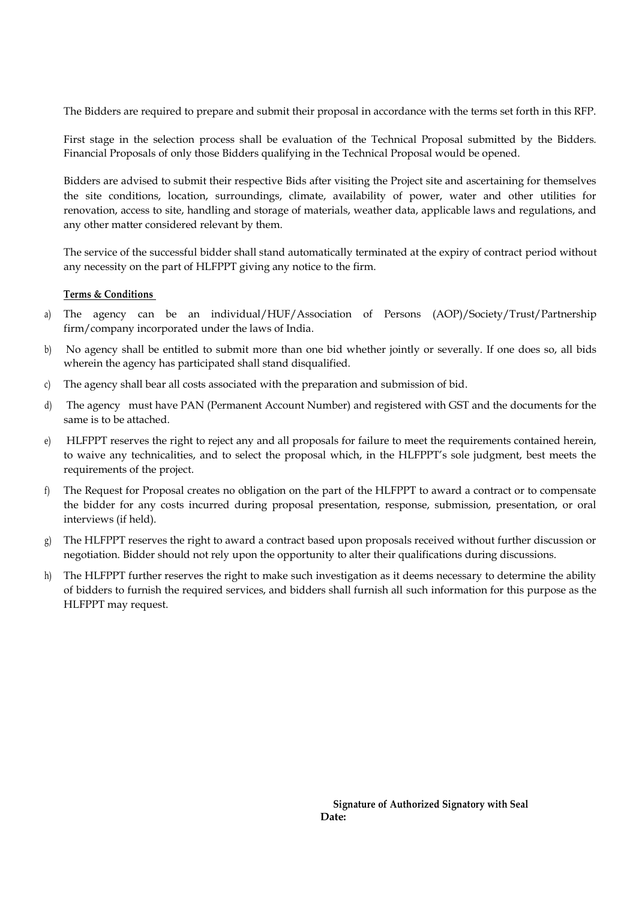The Bidders are required to prepare and submit their proposal in accordance with the terms set forth in this RFP.

First stage in the selection process shall be evaluation of the Technical Proposal submitted by the Bidders. Financial Proposals of only those Bidders qualifying in the Technical Proposal would be opened.

Bidders are advised to submit their respective Bids after visiting the Project site and ascertaining for themselves the site conditions, location, surroundings, climate, availability of power, water and other utilities for renovation, access to site, handling and storage of materials, weather data, applicable laws and regulations, and any other matter considered relevant by them.

The service of the successful bidder shall stand automatically terminated at the expiry of contract period without any necessity on the part of HLFPPT giving any notice to the firm.

# **Terms & Conditions**

- a) The agency can be an individual/HUF/Association of Persons (AOP)/Society/Trust/Partnership firm/company incorporated under the laws of India.
- b) No agency shall be entitled to submit more than one bid whether jointly or severally. If one does so, all bids wherein the agency has participated shall stand disqualified.
- c) The agency shall bear all costs associated with the preparation and submission of bid.
- d) The agency must have PAN (Permanent Account Number) and registered with GST and the documents for the same is to be attached.
- e) HLFPPT reserves the right to reject any and all proposals for failure to meet the requirements contained herein, to waive any technicalities, and to select the proposal which, in the HLFPPT"s sole judgment, best meets the requirements of the project.
- f) The Request for Proposal creates no obligation on the part of the HLFPPT to award a contract or to compensate the bidder for any costs incurred during proposal presentation, response, submission, presentation, or oral interviews (if held).
- g) The HLFPPT reserves the right to award a contract based upon proposals received without further discussion or negotiation. Bidder should not rely upon the opportunity to alter their qualifications during discussions.
- h) The HLFPPT further reserves the right to make such investigation as it deems necessary to determine the ability of bidders to furnish the required services, and bidders shall furnish all such information for this purpose as the HLFPPT may request.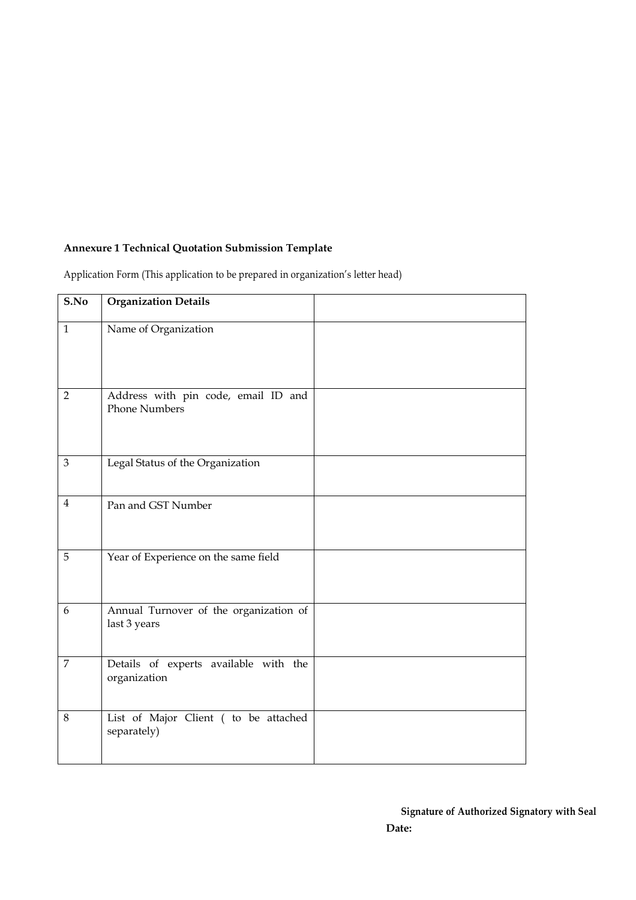# **Annexure 1 Technical Quotation Submission Template**

Application Form (This application to be prepared in organization's letter head)

| S.No           | <b>Organization Details</b>                                 |  |
|----------------|-------------------------------------------------------------|--|
| $\mathbf{1}$   | Name of Organization                                        |  |
| $\overline{2}$ | Address with pin code, email ID and<br><b>Phone Numbers</b> |  |
| $\mathfrak{Z}$ | Legal Status of the Organization                            |  |
| $\overline{4}$ | Pan and GST Number                                          |  |
| 5              | Year of Experience on the same field                        |  |
| 6              | Annual Turnover of the organization of<br>last 3 years      |  |
| $\overline{7}$ | Details of experts available with the<br>organization       |  |
| $8\,$          | List of Major Client ( to be attached<br>separately)        |  |

**Signature of Authorized Signatory with Seal Date:**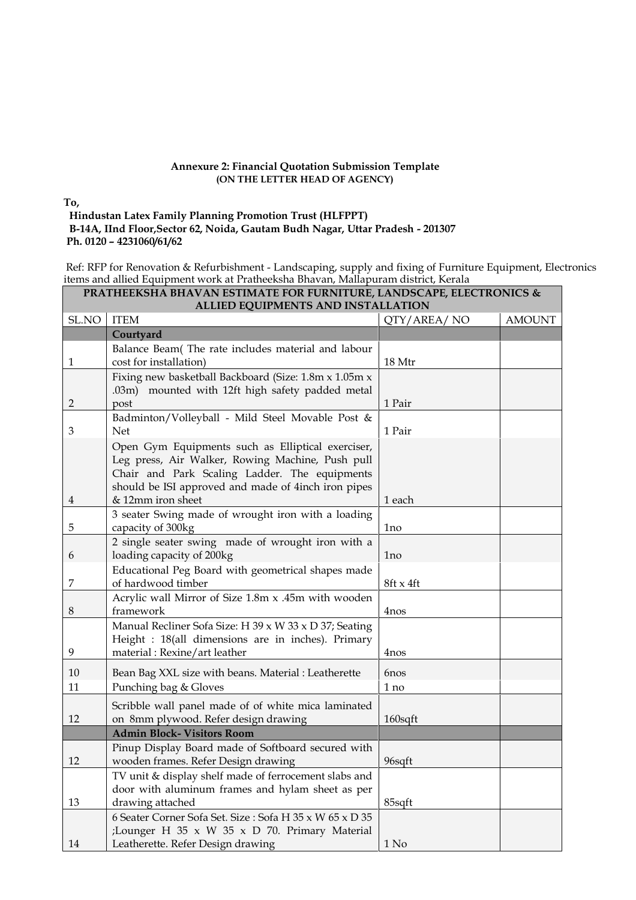## **Annexure 2: Financial Quotation Submission Template (ON THE LETTER HEAD OF AGENCY)**

## **To,**

## **Hindustan Latex Family Planning Promotion Trust (HLFPPT) B-14A, IInd Floor,Sector 62, Noida, Gautam Budh Nagar, Uttar Pradesh - 201307 Ph. 0120 – 4231060/61/62**

 Ref: RFP for Renovation & Refurbishment - Landscaping, supply and fixing of Furniture Equipment, Electronics items and allied Equipment work at Pratheeksha Bhavan, Mallapuram district, Kerala

| PRATHEEKSHA BHAVAN ESTIMATE FOR FURNITURE, LANDSCAPE, ELECTRONICS &<br>ALLIED EQUIPMENTS AND INSTALLATION |                                                                                                      |                  |               |
|-----------------------------------------------------------------------------------------------------------|------------------------------------------------------------------------------------------------------|------------------|---------------|
| SL.NO                                                                                                     | <b>ITEM</b>                                                                                          | QTY/AREA/NO      | <b>AMOUNT</b> |
|                                                                                                           | Courtyard                                                                                            |                  |               |
|                                                                                                           | Balance Beam(The rate includes material and labour                                                   |                  |               |
| 1                                                                                                         | cost for installation)                                                                               | 18 Mtr           |               |
|                                                                                                           | Fixing new basketball Backboard (Size: 1.8m x 1.05m x                                                |                  |               |
|                                                                                                           | .03m) mounted with 12ft high safety padded metal                                                     |                  |               |
| 2                                                                                                         | post                                                                                                 | 1 Pair           |               |
|                                                                                                           | Badminton/Volleyball - Mild Steel Movable Post &                                                     |                  |               |
| $\mathfrak{Z}$                                                                                            | <b>Net</b>                                                                                           | 1 Pair           |               |
|                                                                                                           | Open Gym Equipments such as Elliptical exerciser,                                                    |                  |               |
|                                                                                                           | Leg press, Air Walker, Rowing Machine, Push pull                                                     |                  |               |
|                                                                                                           | Chair and Park Scaling Ladder. The equipments<br>should be ISI approved and made of 4inch iron pipes |                  |               |
| 4                                                                                                         | & 12mm iron sheet                                                                                    | 1 each           |               |
|                                                                                                           | 3 seater Swing made of wrought iron with a loading                                                   |                  |               |
| 5                                                                                                         | capacity of 300kg                                                                                    | 1no              |               |
|                                                                                                           | 2 single seater swing made of wrought iron with a                                                    |                  |               |
| 6                                                                                                         | loading capacity of 200kg                                                                            | 1 <sub>no</sub>  |               |
|                                                                                                           | Educational Peg Board with geometrical shapes made                                                   |                  |               |
| 7                                                                                                         | of hardwood timber                                                                                   | 8ft x 4ft        |               |
|                                                                                                           | Acrylic wall Mirror of Size 1.8m x .45m with wooden                                                  |                  |               |
| 8                                                                                                         | framework                                                                                            | 4nos             |               |
|                                                                                                           | Manual Recliner Sofa Size: H 39 x W 33 x D 37; Seating                                               |                  |               |
|                                                                                                           | Height : 18(all dimensions are in inches). Primary                                                   |                  |               |
| 9                                                                                                         | material: Rexine/art leather                                                                         | 4nos             |               |
| 10                                                                                                        | Bean Bag XXL size with beans. Material : Leatherette                                                 | 6nos             |               |
| 11                                                                                                        | Punching bag & Gloves                                                                                | 1 no             |               |
|                                                                                                           | Scribble wall panel made of of white mica laminated                                                  |                  |               |
| 12                                                                                                        | on 8mm plywood. Refer design drawing                                                                 | 160sqft          |               |
|                                                                                                           | <b>Admin Block- Visitors Room</b>                                                                    |                  |               |
|                                                                                                           | Pinup Display Board made of Softboard secured with                                                   |                  |               |
| 12                                                                                                        | wooden frames. Refer Design drawing                                                                  | 96sqft           |               |
|                                                                                                           | TV unit & display shelf made of ferrocement slabs and                                                |                  |               |
|                                                                                                           | door with aluminum frames and hylam sheet as per                                                     |                  |               |
| 13                                                                                                        | drawing attached                                                                                     | 85sqft           |               |
|                                                                                                           | 6 Seater Corner Sofa Set. Size: Sofa H 35 x W 65 x D 35                                              |                  |               |
|                                                                                                           | ;Lounger H 35 x W 35 x D 70. Primary Material                                                        |                  |               |
| 14                                                                                                        | Leatherette. Refer Design drawing                                                                    | 1 N <sub>0</sub> |               |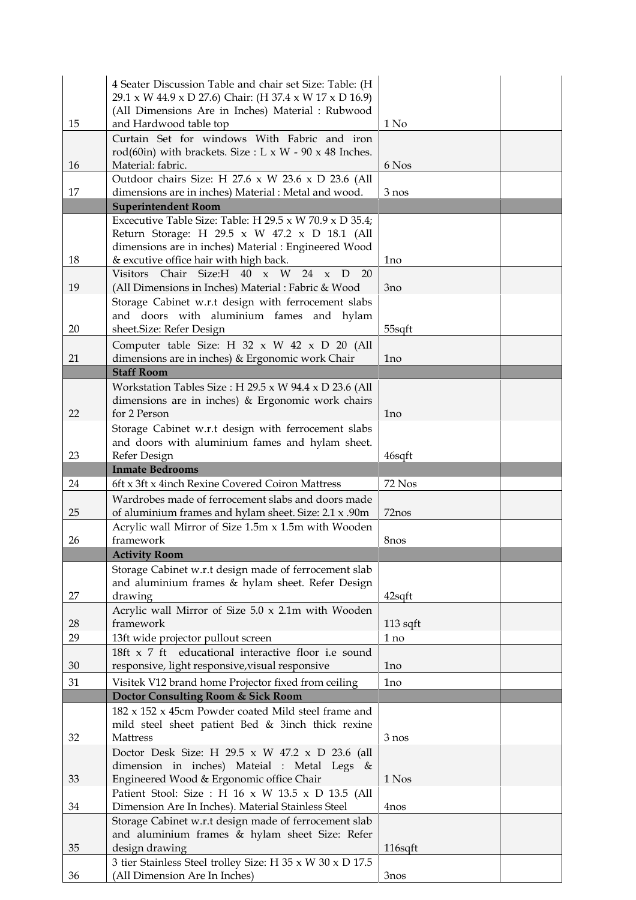|    | 4 Seater Discussion Table and chair set Size: Table: (H               |                  |
|----|-----------------------------------------------------------------------|------------------|
|    | 29.1 x W 44.9 x D 27.6) Chair: (H 37.4 x W 17 x D 16.9)               |                  |
|    | (All Dimensions Are in Inches) Material : Rubwood                     |                  |
| 15 | and Hardwood table top                                                | 1 N <sub>0</sub> |
|    | Curtain Set for windows With Fabric and iron                          |                  |
|    |                                                                       |                  |
|    | rod(60in) with brackets. Size : L x W - 90 x 48 Inches.               |                  |
| 16 | Material: fabric.                                                     | 6 Nos            |
|    | Outdoor chairs Size: H 27.6 x W 23.6 x D 23.6 (All                    |                  |
| 17 | dimensions are in inches) Material : Metal and wood.                  | $3$ nos          |
|    | <b>Superintendent Room</b>                                            |                  |
|    | Excecutive Table Size: Table: H $29.5 \times W$ 70.9 $\times$ D 35.4; |                  |
|    |                                                                       |                  |
|    | Return Storage: H 29.5 x W 47.2 x D 18.1 (All                         |                  |
|    | dimensions are in inches) Material : Engineered Wood                  |                  |
| 18 | & excutive office hair with high back.                                | 1 <sub>no</sub>  |
|    | Visitors Chair Size:H 40 x W<br>24<br>D<br>20<br>$\mathbf{x}$         |                  |
| 19 | (All Dimensions in Inches) Material : Fabric & Wood                   | 3no              |
|    |                                                                       |                  |
|    | Storage Cabinet w.r.t design with ferrocement slabs                   |                  |
|    | and doors with aluminium fames and hylam                              |                  |
| 20 | sheet.Size: Refer Design                                              | 55sqft           |
|    | Computer table Size: H $32 \times W$ $42 \times D$ 20 (All            |                  |
| 21 | dimensions are in inches) & Ergonomic work Chair                      | 1 <sub>no</sub>  |
|    | <b>Staff Room</b>                                                     |                  |
|    |                                                                       |                  |
|    | Workstation Tables Size: H $29.5 \times W$ 94.4 $\times$ D 23.6 (All  |                  |
|    | dimensions are in inches) & Ergonomic work chairs                     |                  |
| 22 | for 2 Person                                                          | 1no              |
|    | Storage Cabinet w.r.t design with ferrocement slabs                   |                  |
|    |                                                                       |                  |
|    | and doors with aluminium fames and hylam sheet.                       |                  |
| 23 | Refer Design                                                          | 46sqft           |
|    | <b>Inmate Bedrooms</b>                                                |                  |
|    |                                                                       |                  |
| 24 | 6ft x 3ft x 4inch Rexine Covered Coiron Mattress                      | 72 Nos           |
|    |                                                                       |                  |
|    | Wardrobes made of ferrocement slabs and doors made                    |                  |
| 25 | of aluminium frames and hylam sheet. Size: 2.1 x .90m                 | 72nos            |
|    | Acrylic wall Mirror of Size 1.5m x 1.5m with Wooden                   |                  |
| 26 | framework                                                             | 8nos             |
|    | <b>Activity Room</b>                                                  |                  |
|    |                                                                       |                  |
|    | Storage Cabinet w.r.t design made of ferrocement slab                 |                  |
|    | and aluminium frames & hylam sheet. Refer Design                      |                  |
| 27 | drawing                                                               | $42$ sqft        |
|    | Acrylic wall Mirror of Size 5.0 x 2.1m with Wooden                    |                  |
| 28 | framework                                                             | $113$ sqft       |
| 29 | 13ft wide projector pullout screen                                    | 1 no             |
|    | 18ft x 7 ft educational interactive floor i.e sound                   |                  |
|    |                                                                       |                  |
| 30 | responsive, light responsive, visual responsive                       | 1 <sub>no</sub>  |
| 31 | Visitek V12 brand home Projector fixed from ceiling                   | 1 <sub>no</sub>  |
|    | Doctor Consulting Room & Sick Room                                    |                  |
|    | 182 x 152 x 45cm Powder coated Mild steel frame and                   |                  |
|    |                                                                       |                  |
|    | mild steel sheet patient Bed & 3inch thick rexine                     |                  |
| 32 | Mattress                                                              | 3 nos            |
|    | Doctor Desk Size: H 29.5 x W 47.2 x D 23.6 (all                       |                  |
|    | dimension in inches) Mateial : Metal Legs &                           |                  |
| 33 | Engineered Wood & Ergonomic office Chair                              | 1 Nos            |
|    | Patient Stool: Size : H 16 x W 13.5 x D 13.5 (All                     |                  |
|    |                                                                       |                  |
| 34 | Dimension Are In Inches). Material Stainless Steel                    | 4nos             |
|    | Storage Cabinet w.r.t design made of ferrocement slab                 |                  |
|    | and aluminium frames & hylam sheet Size: Refer                        |                  |
| 35 | design drawing                                                        | 116sqft          |
|    | 3 tier Stainless Steel trolley Size: H 35 x W 30 x D 17.5             |                  |